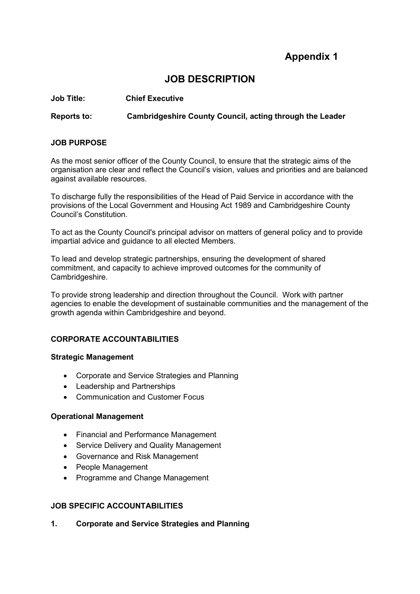# **Appendix 1**

# **JOB DESCRIPTION**

**Job Title: Chief Executive**

**Reports to: Cambridgeshire County Council, acting through the Leader** 

## **JOB PURPOSE**

As the most senior officer of the County Council, to ensure that the strategic aims of the organisation are clear and reflect the Council's vision, values and priorities and are balanced against available resources.

To discharge fully the responsibilities of the Head of Paid Service in accordance with the provisions of the Local Government and Housing Act 1989 and Cambridgeshire County Council's Constitution.

To act as the County Council's principal advisor on matters of general policy and to provide impartial advice and guidance to all elected Members.

To lead and develop strategic partnerships, ensuring the development of shared commitment, and capacity to achieve improved outcomes for the community of Cambridgeshire.

To provide strong leadership and direction throughout the Council. Work with partner agencies to enable the development of sustainable communities and the management of the growth agenda within Cambridgeshire and beyond.

# **CORPORATE ACCOUNTABILITIES**

## **Strategic Management**

- Corporate and Service Strategies and Planning
- Leadership and Partnerships
- Communication and Customer Focus

## **Operational Management**

- Financial and Performance Management
- Service Delivery and Quality Management
- Governance and Risk Management
- People Management
- Programme and Change Management

# **JOB SPECIFIC ACCOUNTABILITIES**

**1. Corporate and Service Strategies and Planning**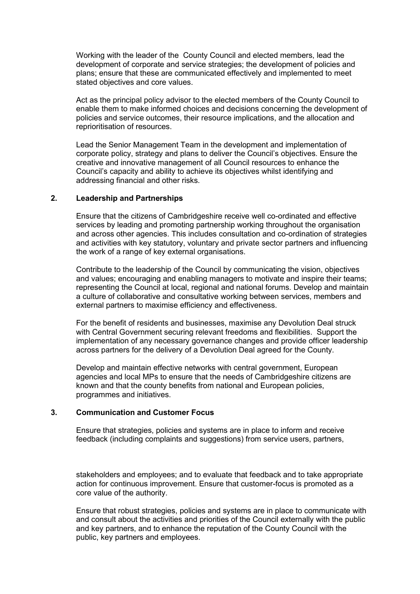Working with the leader of the County Council and elected members, lead the development of corporate and service strategies; the development of policies and plans; ensure that these are communicated effectively and implemented to meet stated objectives and core values.

Act as the principal policy advisor to the elected members of the County Council to enable them to make informed choices and decisions concerning the development of policies and service outcomes, their resource implications, and the allocation and reprioritisation of resources.

Lead the Senior Management Team in the development and implementation of corporate policy, strategy and plans to deliver the Council's objectives. Ensure the creative and innovative management of all Council resources to enhance the Council's capacity and ability to achieve its objectives whilst identifying and addressing financial and other risks.

#### **2. Leadership and Partnerships**

Ensure that the citizens of Cambridgeshire receive well co-ordinated and effective services by leading and promoting partnership working throughout the organisation and across other agencies. This includes consultation and co-ordination of strategies and activities with key statutory, voluntary and private sector partners and influencing the work of a range of key external organisations.

Contribute to the leadership of the Council by communicating the vision, objectives and values; encouraging and enabling managers to motivate and inspire their teams; representing the Council at local, regional and national forums. Develop and maintain a culture of collaborative and consultative working between services, members and external partners to maximise efficiency and effectiveness.

For the benefit of residents and businesses, maximise any Devolution Deal struck with Central Government securing relevant freedoms and flexibilities. Support the implementation of any necessary governance changes and provide officer leadership across partners for the delivery of a Devolution Deal agreed for the County.

Develop and maintain effective networks with central government, European agencies and local MPs to ensure that the needs of Cambridgeshire citizens are known and that the county benefits from national and European policies, programmes and initiatives.

## **3. Communication and Customer Focus**

Ensure that strategies, policies and systems are in place to inform and receive feedback (including complaints and suggestions) from service users, partners,

stakeholders and employees; and to evaluate that feedback and to take appropriate action for continuous improvement. Ensure that customer-focus is promoted as a core value of the authority.

Ensure that robust strategies, policies and systems are in place to communicate with and consult about the activities and priorities of the Council externally with the public and key partners, and to enhance the reputation of the County Council with the public, key partners and employees.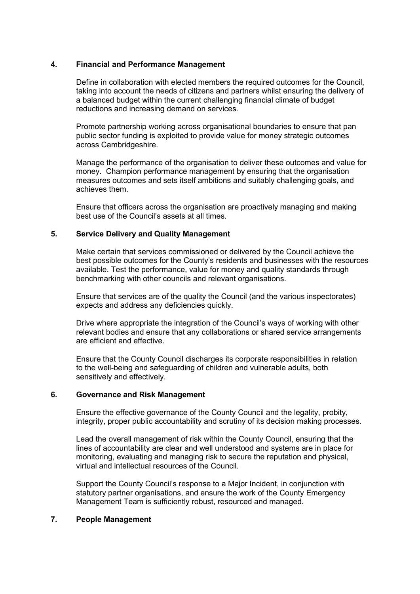## **4. Financial and Performance Management**

Define in collaboration with elected members the required outcomes for the Council, taking into account the needs of citizens and partners whilst ensuring the delivery of a balanced budget within the current challenging financial climate of budget reductions and increasing demand on services.

Promote partnership working across organisational boundaries to ensure that pan public sector funding is exploited to provide value for money strategic outcomes across Cambridgeshire.

Manage the performance of the organisation to deliver these outcomes and value for money. Champion performance management by ensuring that the organisation measures outcomes and sets itself ambitions and suitably challenging goals, and achieves them.

Ensure that officers across the organisation are proactively managing and making best use of the Council's assets at all times.

#### **5. Service Delivery and Quality Management**

Make certain that services commissioned or delivered by the Council achieve the best possible outcomes for the County's residents and businesses with the resources available. Test the performance, value for money and quality standards through benchmarking with other councils and relevant organisations.

Ensure that services are of the quality the Council (and the various inspectorates) expects and address any deficiencies quickly.

Drive where appropriate the integration of the Council's ways of working with other relevant bodies and ensure that any collaborations or shared service arrangements are efficient and effective.

Ensure that the County Council discharges its corporate responsibilities in relation to the well-being and safeguarding of children and vulnerable adults, both sensitively and effectively.

#### **6. Governance and Risk Management**

Ensure the effective governance of the County Council and the legality, probity, integrity, proper public accountability and scrutiny of its decision making processes.

Lead the overall management of risk within the County Council, ensuring that the lines of accountability are clear and well understood and systems are in place for monitoring, evaluating and managing risk to secure the reputation and physical, virtual and intellectual resources of the Council.

Support the County Council's response to a Major Incident, in conjunction with statutory partner organisations, and ensure the work of the County Emergency Management Team is sufficiently robust, resourced and managed.

#### **7. People Management**